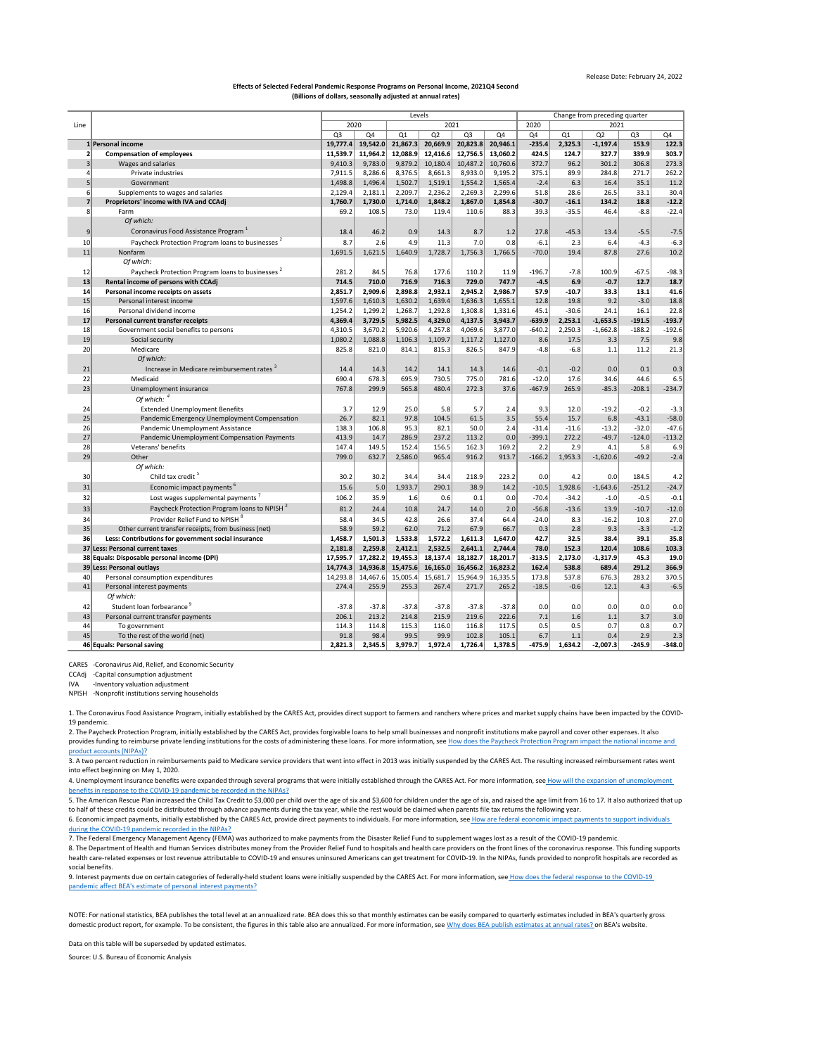[NOTE: F](https://www.bea.gov/help/faq/121)or national statistics, BEA publishes the total level at an annualized rate. BEA does this so that monthly estimates can be easily compared to quarterly estimates included in BEA's quarterly gross [domestic product report, for example. To be consistent, the figures in this table also are annualized. For more information, see Why does BEA publish estimates at annual rates? o](https://www.bea.gov/help/faq/121)n BEA's website.

[4. Unemployment insurance benefits were expanded through several programs that were initially established through the CARES Act. For more information, see](https://www.bea.gov/help/faq/1415) How will the expansion of unemployment [benefits](https://www.bea.gov/help/faq/1415) in response to the COVID-19 pandemic be recorded in the NIPAs?

[6. Economic impact payments, initially established by the CARES Act, provide direct payments to individuals. For more information, see](https://www.bea.gov/help/faq/1409) How are federal economic impact payments to support individuals [during t](https://www.bea.gov/help/faq/1409)he COVID-19 pandemic recorded in the NIPAs?

|          |                                                              | Levels         |          |                    |                    |                |                    |              | Change from preceding quarter |            |                |          |  |  |
|----------|--------------------------------------------------------------|----------------|----------|--------------------|--------------------|----------------|--------------------|--------------|-------------------------------|------------|----------------|----------|--|--|
| Line     |                                                              | 2020<br>2021   |          |                    |                    |                |                    | 2020<br>2021 |                               |            |                |          |  |  |
|          |                                                              | Q <sub>3</sub> | Q4       | Q1                 | Q2                 | Q <sub>3</sub> | Q4                 | Q4           | Q1                            | Q2         | Q <sub>3</sub> | Q4       |  |  |
|          | 1 Personal income                                            | 19,777.4       | 19,542.0 | 21,867.3           | 20,669.9           | 20,823.8       | 20,946.1           | $-235.4$     | 2,325.3                       | $-1,197.4$ | 153.9          | 122.3    |  |  |
|          | <b>Compensation of employees</b>                             | 11,539.7       | 11,964.2 | 12,088.9           | 12,416.6           | 12,756.5       | 13,060.2           | 424.5        | 124.7                         | 327.7      | 339.9          | 303.7    |  |  |
|          | Wages and salaries                                           | 9,410.3        | 9,783.0  | 9,879.2            | 10,180.4           | 10,487.2       | 10,760.6           | 372.7        | 96.2                          | 301.2      | 306.8          | 273.3    |  |  |
|          | Private industries                                           | 7,911.5        | 8,286.6  | 8,376.5            | 8,661.3            | 8,933.0        | 9,195.2            | 375.1        | 89.9                          | 284.8      | 271.7          | 262.2    |  |  |
|          | Government                                                   | 1,498.8        | 1,496.4  | 1,502.7            | 1,519.1            | 1,554.2        | 1,565.4            | $-2.4$       | 6.3                           | 16.4       | 35.1           | 11.2     |  |  |
|          | Supplements to wages and salaries                            | 2,129.4        | 2,181.1  | 2,209.7            | 2,236.2            | 2,269.3        | 2,299.6            | 51.8         | 28.6                          | 26.5       | 33.1           | 30.4     |  |  |
|          | Proprietors' income with IVA and CCAdj                       | 1,760.7        | 1,730.0  | 1,714.0            | 1,848.2            | 1,867.0        | 1,854.8            | $-30.7$      | $-16.1$                       | 134.2      | 18.8           | $-12.2$  |  |  |
| 8        | Farm                                                         | 69.2           | 108.5    | 73.0               | 119.4              | 110.6          | 88.3               | 39.3         | $-35.5$                       | 46.4       | $-8.8$         | $-22.4$  |  |  |
|          | Of which:                                                    |                |          |                    |                    |                |                    |              |                               |            |                |          |  |  |
| 9        | Coronavirus Food Assistance Program <sup>1</sup>             | 18.4           | 46.2     | 0.9                | 14.3               | 8.7            | 1.2                | 27.8         | $-45.3$                       | 13.4       | $-5.5$         | $-7.5$   |  |  |
| 10       | Paycheck Protection Program loans to businesses <sup>2</sup> | 8.7            | 2.6      | 4.9                | 11.3               | 7.0            | 0.8                | $-6.1$       | 2.3                           | 6.4        | $-4.3$         | $-6.3$   |  |  |
| 11       | Nonfarm                                                      | 1,691.5        | 1,621.5  | 1,640.9            | 1,728.7            | 1,756.3        | 1,766.5            | $-70.0$      | 19.4                          | 87.8       | 27.6           | 10.2     |  |  |
|          | Of which:                                                    |                |          |                    |                    |                |                    |              |                               |            |                |          |  |  |
| 12       | Paycheck Protection Program loans to businesses <sup>2</sup> | 281.2          | 84.5     | 76.8               | 177.6              | 110.2          | 11.9               | $-196.7$     | $-7.8$                        | 100.9      | $-67.5$        | $-98.3$  |  |  |
| 13       | Rental income of persons with CCAdj                          | 714.5          | 710.0    | 716.9              | 716.3              | 729.0          | 747.7              | $-4.5$       | 6.9                           | $-0.7$     | 12.7           | 18.7     |  |  |
|          | Personal income receipts on assets                           | 2,851.7        | 2,909.6  |                    |                    | 2,945.2        | 2,986.7            | 57.9         | $-10.7$                       | 33.3       | 13.1           | 41.6     |  |  |
| 14<br>15 | Personal interest income                                     |                |          | 2,898.8            | 2,932.1            | 1,636.3        |                    | 12.8         | 19.8                          | 9.2        | $-3.0$         | 18.8     |  |  |
|          | Personal dividend income                                     | 1,597.6        | 1,610.3  | 1,630.2<br>1,268.7 | 1,639.4<br>1,292.8 | 1,308.8        | 1,655.1<br>1,331.6 | 45.1         | $-30.6$                       | 24.1       | 16.1           | 22.8     |  |  |
| 16<br>17 |                                                              | 1,254.2        | 1,299.2  |                    |                    |                |                    |              |                               |            | $-191.5$       | $-193.7$ |  |  |
|          | Personal current transfer receipts                           | 4,369.4        | 3,729.5  | 5,982.5            | 4,329.0            | 4,137.5        | 3,943.7            | $-639.9$     | 2,253.1                       | $-1,653.5$ | $-188.2$       | $-192.6$ |  |  |
| 18       | Government social benefits to persons                        | 4,310.5        | 3,670.2  | 5,920.6            | 4,257.8            | 4,069.6        | 3,877.0            | $-640.2$     | 2,250.3                       | $-1,662.8$ |                |          |  |  |
| 19       | Social security<br>Medicare                                  | 1,080.2        | 1,088.8  | 1,106.3            | 1,109.7            | 1,117.2        | 1,127.0            | 8.6          | 17.5<br>$-6.8$                | 3.3        | 7.5            | 9.8      |  |  |
| 20       |                                                              | 825.8          | 821.0    | 814.1              | 815.3              | 826.5          | 847.9              | $-4.8$       |                               | 1.1        | 11.2           | 21.3     |  |  |
|          | Of which:                                                    |                |          |                    |                    |                |                    |              |                               |            |                |          |  |  |
| 21       | Increase in Medicare reimbursement rates                     | 14.4           | 14.3     | 14.2               | 14.1               | 14.3           | 14.6               | $-0.1$       | $-0.2$                        | 0.0        | 0.1            | 0.3      |  |  |
| 22       | Medicaid                                                     | 690.4          | 678.3    | 695.9              | 730.5              | 775.0          | 781.6              | $-12.0$      | 17.6                          | 34.6       | 44.6           | 6.5      |  |  |
| 23       | Unemployment insurance                                       | 767.8          | 299.9    | 565.8              | 480.4              | 272.3          | 37.6               | $-467.9$     | 265.9                         | $-85.3$    | $-208.1$       | $-234.7$ |  |  |
|          | Of which: $4$                                                |                |          |                    |                    |                |                    |              |                               |            |                |          |  |  |
| 24       | <b>Extended Unemployment Benefits</b>                        | 3.7            | 12.9     | 25.0               | 5.8                | 5.7            | 2.4                | 9.3          | 12.0                          | $-19.2$    | $-0.2$         | $-3.3$   |  |  |
| 25       | Pandemic Emergency Unemployment Compensation                 | 26.7           | 82.1     | 97.8               | 104.5              | 61.5           | 3.5                | 55.4         | 15.7                          | 6.8        | $-43.1$        | $-58.0$  |  |  |
| 26       | Pandemic Unemployment Assistance                             | 138.3          | 106.8    | 95.3               | 82.1               | 50.0           | 2.4                | $-31.4$      | $-11.6$                       | $-13.2$    | $-32.0$        | $-47.6$  |  |  |
| 27       | Pandemic Unemployment Compensation Payments                  | 413.9          | 14.7     | 286.9              | 237.2              | 113.2          | 0.0                | $-399.1$     | 272.2                         | $-49.7$    | $-124.0$       | $-113.2$ |  |  |
| 28       | Veterans' benefits                                           | 147.4          | 149.5    | 152.4              | 156.5              | 162.3          | 169.2              | 2.2          | 2.9                           | 4.1        | 5.8            | 6.9      |  |  |
| 29       | Other                                                        | 799.0          | 632.7    | 2,586.0            | 965.4              | 916.2          | 913.7              | $-166.2$     | 1,953.3                       | $-1,620.6$ | $-49.2$        | $-2.4$   |  |  |
|          | Of which:                                                    |                |          |                    |                    |                |                    |              |                               |            |                |          |  |  |
| 30       | Child tax credit <sup>5</sup>                                | 30.2           | 30.2     | 34.4               | 34.4               | 218.9          | 223.2              | 0.0          | 4.2                           | 0.0        | 184.5          | 4.2      |  |  |
| 31       | Economic impact payments <sup>6</sup>                        | 15.6           | 5.0      | 1,933.7            | 290.1              | 38.9           | 14.2               | $-10.5$      | 1,928.6                       | $-1,643.6$ | $-251.2$       | $-24.7$  |  |  |
| 32       | Lost wages supplemental payments <sup>7</sup>                | 106.2          | 35.9     | 1.6                | 0.6                | 0.1            | 0.0                | $-70.4$      | $-34.2$                       | $-1.0$     | $-0.5$         | $-0.1$   |  |  |
| 33       | Paycheck Protection Program Ioans to NPISH <sup>2</sup>      | 81.2           | 24.4     | 10.8               | 24.7               | 14.0           | 2.0                | $-56.8$      | $-13.6$                       | 13.9       | $-10.7$        | $-12.0$  |  |  |
| 34       | Provider Relief Fund to NPISH <sup>8</sup>                   | 58.4           | 34.5     | 42.8               | 26.6               | 37.4           | 64.4               | $-24.0$      | 8.3                           | $-16.2$    | 10.8           | 27.0     |  |  |
| 35       | Other current transfer receipts, from business (net)         | 58.9           | 59.2     | 62.0               | 71.2               | 67.9           | 66.7               | 0.3          | 2.8                           | 9.3        | $-3.3$         | $-1.2$   |  |  |
| 36       | Less: Contributions for government social insurance          | 1,458.7        | 1,501.3  | 1,533.8            | 1,572.2            | 1,611.3        | 1,647.0            | 42.7         | 32.5                          | 38.4       | 39.1           | 35.8     |  |  |
|          | 37 Less: Personal current taxes                              | 2,181.8        | 2,259.8  | 2,412.1            | 2,532.5            | 2,641.1        | 2,744.4            | 78.0         | 152.3                         | 120.4      | 108.6          | 103.3    |  |  |
|          | 38 Equals: Disposable personal income (DPI)                  | 17,595.7       | 17,282.2 | 19,455.3           | 18,137.4           | 18,182.7       | 18,201.7           | $-313.5$     | 2,173.0                       | $-1,317.9$ | 45.3           | 19.0     |  |  |
|          | 39 Less: Personal outlays                                    | 14,774.3       | 14,936.8 | 15,475.6           | 16, 165.0          | 16,456.2       | 16,823.2           | 162.4        | 538.8                         | 689.4      | 291.2          | 366.9    |  |  |
| 40       | Personal consumption expenditures                            | 14,293.8       | 14,467.6 | 15,005.4           | 15,681.7           | 15,964.9       | 16,335.5           | 173.8        | 537.8                         | 676.3      | 283.2          | 370.5    |  |  |
| 41       | Personal interest payments                                   | 274.4          | 255.9    | 255.3              | 267.4              | 271.7          | 265.2              | $-18.5$      | $-0.6$                        | 12.1       | 4.3            | $-6.5$   |  |  |
|          | Of which:                                                    |                |          |                    |                    |                |                    |              |                               |            |                |          |  |  |
|          |                                                              |                |          |                    |                    |                |                    |              |                               |            |                |          |  |  |
| 42       | Student loan forbearance                                     | $-37.8$        | $-37.8$  | $-37.8$            | $-37.8$            | $-37.8$        | $-37.8$            | 0.0          | 0.0                           | 0.0        | 0.0            | 0.0      |  |  |
| 43       | Personal current transfer payments                           | 206.1          | 213.2    | 214.8              | 215.9              | 219.6          | 222.6              | 7.1          | 1.6                           | 1.1        | 3.7            | 3.0      |  |  |
| 44       | To government                                                | 114.3          | 114.8    | 115.3              | 116.0              | 116.8          | 117.5              | 0.5          | 0.5                           | 0.7        | 0.8            | 0.7      |  |  |
| 45       | To the rest of the world (net)                               | 91.8           | 98.4     | 99.5               | 99.9               | 102.8          | 105.1              | 6.7          | 1.1                           | 0.4        | 2.9            | 2.3      |  |  |
|          | 46 Equals: Personal saving                                   | 2,821.3        | 2,345.5  | 3,979.7            | 1,972.4            | 1,726.4        | 1,378.5            | $-475.9$     | 1,634.2                       | $-2,007.3$ | $-245.9$       | $-348.0$ |  |  |

CARES -Coronavirus Aid, Relief, and Economic Security

CCAdj -Capital consumption adjustment

IVA -Inventory valuation adjustment

NPISH -Nonprofit institutions serving households

Data on this table will be superseded by updated estimates.

Source: U.S. Bureau of Economic Analysis

5. The American Rescue Plan increased the Child Tax Credit to \$3,000 per child over the age of six and \$3,600 for children under the age of six, and raised the age limit from 16 to 17. It also authorized that up to half of these credits could be distributed through advance payments during the tax year, while the rest would be claimed when parents file tax returns the following year.

7. The Federal Emergency Management Agency (FEMA) was authorized to make payments from the Disaster Relief Fund to supplement wages lost as a result of the COVID-19 pandemic.

8. The Department of Health and Human Services distributes money from the Provider Relief Fund to hospitals and health care providers on the front lines of the coronavirus response. This funding supports health care-related expenses or lost revenue attributable to COVID-19 and ensures uninsured Americans can get treatment for COVID-19. In the NIPAs, funds provided to nonprofit hospitals are recorded as social benefits.

[9. Interest payments due on certain categories of federally-held student loans were initially suspended by the CARES Act. For more information, see](https://www.bea.gov/help/faq/1407) How does the federal response to the COVID-19 [pandem](https://www.bea.gov/help/faq/1407)ic affect BEA's estimate of personal interest payments?

1. The Coronavirus Food Assistance Program, initially established by the CARES Act, provides direct support to farmers and ranchers where prices and market supply chains have been impacted by the COVID-19 pandemic.

[2. The P](https://www.bea.gov/help/faq/1408)aycheck Protection Program, initially established by the CARES Act, provides forgivable loans to help small businesses and nonprofit institutions make payroll and cover other expenses. It also [provides funding to reimburse private lending institutions for the costs of administering these loans. For more information, see H](https://www.bea.gov/help/faq/1408)ow does the Paycheck Protection Program impact the national income and [product](https://www.bea.gov/help/faq/1408) accounts (NIPAs)?

3. A two percent reduction in reimbursements paid to Medicare service providers that went into effect in 2013 was initially suspended by the CARES Act. The resulting increased reimbursement rates went into effect beginning on May 1, 2020.

## Release Date: February 24, 2022

## **Effects of Selected Federal Pandemic Response Programs on Personal Income, 2021Q4 Second (Billions of dollars, seasonally adjusted at annual rates)**